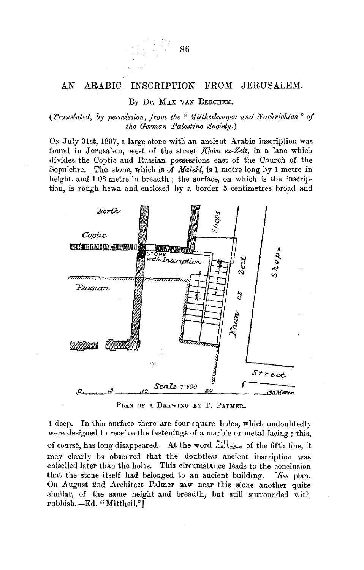## AN ARABIC INSCRIPTION FROM JERUSALEM.

## By Dr. MAX VAN BERCHEM.

## (*Translated, by permission, from the "Mittheilungen und Nachrichten" of the German Palestine Society.)*

Ox July 31st, 1897, a large stone with an ancient Arabic inscription was found in Jerusalem, west of the street Khân ez-Zeit, in a lane which divides the Coptic and Russian possessions east of the Church of the Sepulchre. The stone, which is of *Maleki*, is 1 metre long by 1 metre in height, and 108 metre in breadth; the surface, on which is the inscription, is rough hewn and enclosed by a border 5 centimetres broad and



PLAN OF A DRAWING BY P. PALMER.

1 deep. In this surface there are four square holes, which undoubtedly were designed to receive the fastenings of a marble or metal facing; this, of course, has long disappeared. At the word distinguish of the fifth line, it nay clearly be observed that the doubtless ancient inscription was chiselled later than the holes. This circumstance leads to the conclusion that the stone itself had belonged to an ancient building. *[See plan.* On August 2nd Architect Palmer saw near this stone another quite similar, of the same height and breadth, but still surrounded with rabbish.-Ed. "Mittheil."]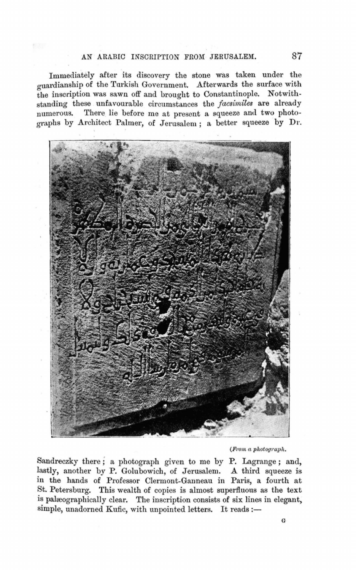## AN ARABIC INSCRIPTION FROM JERUSALEM. 87

Immediately after its discovery the stone was taken under the guardianship of the Turkish Government. Afterwards the surface with the inscription was sawn off and brought to Constantinople. Notwithstanding these unfavourable circumstances the *facsimiles* are already numerous. There lie before me at present a squeeze and two photographs by Architect Palmer, of Jerusalem; a better squeeze by Dr.



*(From a photog,·aph.* 

Sandreczky there ; a photograph given to me by P. Lagrange ; and, lastly, another by P. Golubowich, of Jerusalem. A third squeeze is in the hands of Professor Clermont-Ganneau in Paris, a fourth at St. Petersburg. This wealth of copies is almost superfluous as the text is palaeographically clear. The inscription consists of six lines in elegant, simple, unadorned Kufic, with unpointed letters. It reads:-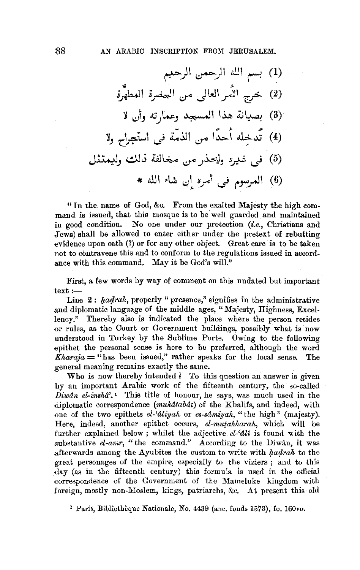~\_)I ~)I illl *r:* (l)· ,;; <sup>~</sup> ~I i.,,~I *i.:.r-"* JW1,r.J1 if (2) 'll ~1., *K)'\_}.,.\$.J* ~i 1.u ~~ (3) ... ~ .c. ., ~J 'C~\ *,.}* L~I *i.:.r-"* l-'>-1 ~~ (4) J~J clJj .ul~ *i.:.r-"* \_y)»'.JJ ~ *,.}* (5) \* illl ~~ ~~ -:,-"i *,.}* t\_,..,rll (6)

"In the name of God, &c. From the exalted Majesty the high command is issued, that this mosque is to be well guarded and maintained in good condition. No one under our protection *(i.e.,* Christians and .Tews) shall be allowed to enter either under the pretext of rebutting  $-$ evidence upon oath (?) or for any other object. Great care is to be taken not to contravene this and to conform to the regulations issued in accordance with this command. May it be God's will."

First, a few words by way of comment on this undated but important  $text$ :-

Line 2: *hadrah*, properly " presence," signifies in the administrative .and diplomatic language of the middle ages, "Majesty, Highness, Excellency." Thereby also is indicated the place where the person resides or rules, as the Court or Government buildings, possibly what is now understood in Turkey by the Sublime Porte. Owing to the following epithet the personal sense is here to be preferred, although the word  $Kharaja = "has been issued," rather speaks for the local sense. The$ general meaning remains exactly the same. .

Who is now thereby intended ? To this question an answer is given by an important Arabic work of the fifteenth century, the so-called *Diwan el-insha'.'* This title of honour, he says, was much used in the diplomatic correspondence *(mukdtabdt)* of the Khalifs, and indeed, with one of the two epithets *el-'dliyah* or *es-sâmiyah*, "the high" (majesty). Here, indeed, another epithet occurs, *el-mutahharah*, which will be further explained below ; whilst the adjective *el-'dU* is found with the substantive *el-amr*, "the command." According to the Diwân, it was afterwards among the Ayubites the custom to write with *hadrah* to the great personages of the empire, especially to the viziers ; and to this  $day$  (as in the fifteenth century) this formula is used in the official correspondence of the Government of the Mameluke kingdom with foreign, mostly non-Moslem, kings, patriarchs, &c. At present this old

1 Paris, Bibliotheque Nationale, No. 4439 (anc. fonds 1573), fo. 160vo.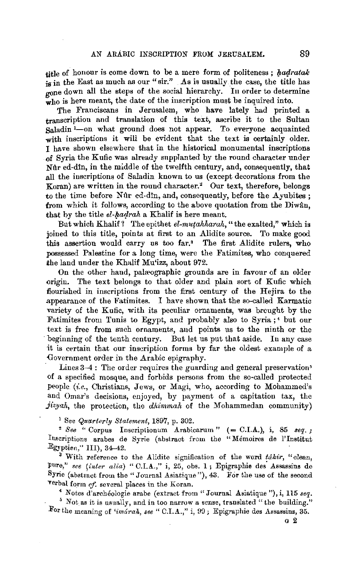title of honour is come down to be a mere form of politeness ; *hadratak* is in the East as much as our "sir." As is usually the case, the title has  $\sigma$ one down all the steps of the social hierarchy. In order to determine **who** is here meant, the date of the inscription must be inquired into.

The Franciscans in Jerusalem, who have lately had printed a transcription and translation of this text, ascribe it to the Sultan Saladin 1-on what ground does not appear. To everyone acquainted with inscriptions it will be evident that the text is certainly older. I have shown elsewhere that in the historical monumental inscriptions of Syria the Kufic was already supplanted by the round character under Nftr ed-din, in the middle of the twelfth century, and, consequently, that all the inscriptions of Saladin known to us (except decorations from the Koran) are written in the round character." Our text, therefore, belongs to the time before Nûr ed-dîn, and, consequently, before the Ayubites; from which it follows, according to the above quotation from the Diwan. that by the title *el-hadrah* a Khalif is here meant.

But which Khalif ? The epithet *el-mutahharah*, "the exalted," which is joined to this title, points at first to an Alidite source. To make good this assertion would carry us too far.<sup>3</sup> The first Alidite rulers, who possessed Palestine for a long time, were the Fatimites, who conquered the land under the Khalif Mu'izz, about 972.

On the other hand, palæographic grounds are in favour of an older origin. The text belongs to that older and plain sort of Kufic which flourished in inscriptions from the first century of the Hejira to the appearance of the Fatimites. I have shown that the so-called Karmatic variety of the Kufic, with its peculiar ornaments, was brought by the Fatimites from Tunis to Egypt, and probably also to Syria;<sup>4</sup> but our text is free from such ornaments, aud points us to the ninth or the · beginning of the tenth century. But let us put that aside. In any case it is certain that our inscription forms by far the oldest example of a Government order in the Arabic epigraphy.

Lines 3-4 : The order requires the guarding and general preservation<sup>5</sup> of a specified mosque, and forbids persons from the so-called protected people (i.e., Christians, Jews, or Magi, who, according to Mohammed's and Omar's decisions, enjoyed, by payment of a capitation tax, the *Jizyah*, the protection, the *dhimmah* of the Mohammedan community)

1 See *Quarterly Statement,* 1897, p. 302.

<sup>2</sup> See " Corpus Inscriptionum Arabicarum"  $(= C.I.A.),$  i, 85 seq.; Inscriptions arabes de Syrie (abstract from the "Mémoires de l'Institut Egyptien," III), 34-42.

<sup>3</sup> With reference to the Alidite signification of the word *tdhir*, "clean, Pure," see (inter alia) "C.I.A.," i, 25, obs. 1; Epigraphie des Assassins de Syrie (abstract from the "Journal Asiatique"), 43. For the use of the second verbal form *cf.* several places in the Koran.

<sup>4</sup> Notes d'archéologie arabe (extract from "Journal Asiatique "), i, 115 *seq.* <sup>5</sup> Not as it is usually, and in too narrow a sense, translated "the building."

For the meaning of *'imárah, see* " C.I.A.," i, 99; Epigraphie des Assassins, 35.

G 2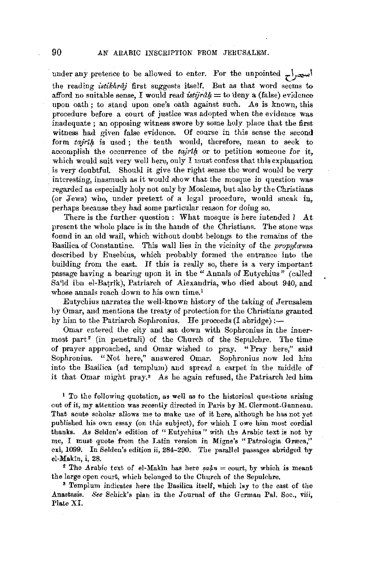under any pretence to be allowed to enter. For the unpointed  $_{\tau}$ , the reading *istikhraj* first suggests itself. But as that word seems to afford no suitable sense, I would read  $\frac{isti\hat{r}d\hat{t}}{dt}$  to deny a (false) evidence upon oath ; to stand upon one's oath against such. As is known, this procedure before a court of justice was adopted when the evidence was inadequate ; an opposing witness swore by some holy place that the first witness had given false evidence. Of course in this sense the second form *tairth* is used : the tenth would, therefore, mean to seek to accomplish the occurrence of the *tajr1h* or to petition someone for it, which would suit very well here, only I must confess that this explanation is very doubtfol. Should it give the right sense the word would be very interesting, inasmuch as it would show that the mosque in question was regarded as especially holy not only by Moslems, but also by the Christians (or Jews) who, under pretext of a legal procedure, would sneak in, perhaps because they had some particular reason for doing so.

There is the further question : What mosque is here intended  $\hat{i}$  At. present the whole place is in the hands of the Christians. The stone was found in an old wall, which without doubt belongs to the remains of the Basilica of Constantine. This wall lies in the vicinity of the *propylaeum* described by Eusebius, which probably formed the entrance into the building from the east. If this is really so, there is a very important passage having a bearing upon it in the "Annals of Eutychius" *(* called Sa'id ibn el-Batrik), Patriarch of Alexandria, who died about 940, and whose annals reach down to his own time.<sup>1</sup>

Eutychius narrates the well-known history of the taking of Jerusalem by Omar, and mentions the treaty of protection for the Christians granted by him to the Patriarch Sophronius. He proceeds  $(I \text{ abridge})$ :-

Omar entered the city and sat down with Sophronius in the innermost part<sup>2</sup> (in penetrali) of the Church of the Sepulchre. The time of prayer approached, and Omar wished to pray. '' Pray here," said Sophronius. "Not here," answered Omar. Sophronius now led him into the Basilica (ad templum) and spread a carpet in the middle of it that Omar might pray.• As he again refused, the Patriarch led him

<sup>1</sup> To the following quotation, as well as to the historical questions arising out of it, my attention was recently directed in Paris by M. Clermont.Ganneau. That acute scholar allows me to make use of it here, although he has not yet published his own essay (on this subject), for which I owe him most cordial thanks. As Selden's edition of "Eutychius" with the Arabic text is not by me, I must quote from the Latin version in Migne's "Patrologia Græca," cxi, 1099. In Selden's edition ii, 284-290. The parallel passages abridged **'by**  el-Maktn, i, 28.

<sup>2</sup> The Arabic text of el-Makin has here  $sa\nu = count$ , by which is meant the large open court, which belonged to the Church of the Sepulchre.

<sup>3</sup> Templum indicates here the Basilica itself, which lay to the east of the .A.nastasis. *See* Schick's plan in the Journal of the German Pal. Soc., **viii, Plate XI.**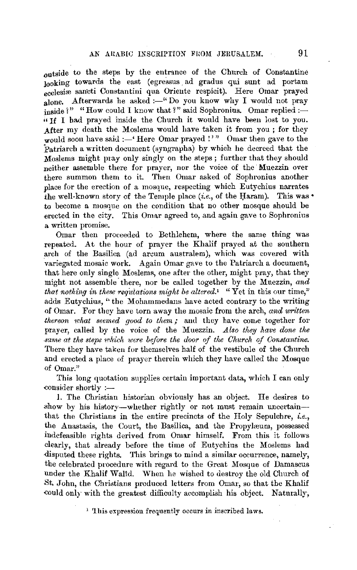.outside to the steps by the entrance of the Church of Constantine looking towards the east (egressus ad gradus qui sunt ad portam ecclesiæ sancti Constantini qua Oriente respicit). Here Omar prayed alone. Afterwards he asked :- "Do you know why I would not pray inside ?" "How could I know that ?" said Sophronius. Omar replied :-" If I had prayed inside the Church it would have been lost to vou. After my death the Moslems would have taken it from you ; for they would soon have said :-' Here Omar prayed !'" Omar then gave to the Patriarch a written document (syngrapha) by which he decreed that the Moslems might pray only singly on the steps ; further that they should neither assemble there for prayer, nor the voice of the Muezzin over there summon them to it. Then Omar asked of Sophronius another place for the erection of a mosque, respecting which Eutychius narrates the well-known story of the Temple place *(i.e., of the Haram)*. This was • to become a mosque on the condition that no other mosque should be erected in the city. This Omar agreed to, and again gave to Sophronius a written promise.

Omar then proceeded to Bethlehem, where the same thing was repeated. At the hour of prayer the Khalif prayed at the southern arch of the Basilica (ad arcum australem), which was covered with variegated mosaic work. Again Omar gave to the Patriarch a document, that here only single Moslems, one after the other, might pray, that they might not assemble· there, nor be called together by the Muezzin, *and that nothing in these regulations might be altered.'* "Yet in this our time," adds Eutychius, "the Mohammedans have acted contrary to the writing of Omar. For they have torn away the mosaic from the arch, *and written thereon what seemed good to them;* and they have come together for prayer, called by the voice of the Muezzin. Also they have done the same at the steps which were before the door of the Church of Constantine. There they have taken for themselves half of the vestibule of the Church and erected a place of prayer therein which they have called the Mosque of Omar."

This long quotation supplies certain important data, which I can only consider shortly  $:=$ 

1. The Christian historian obviously has an object. He desires to show by his history-whether rightly or not must remain uncertainthat the Christians in the entire precincts of the Holy Sepulchre, *i.e.,*  the Anastasis, the Court, the Basilica, and the Propylæum, possessed indefeasible rights derived from Omar himself. From this it follows clearly, that already before the time of Eutychius the Moslems had disputed these rights. This brings to mind a similar occurrence, namely, the celebrated procedure with regard to the Great Mosque of Damascus under the Khalif Walid. When he wished to destroy the old Church of St. John, the Christians produced letters from Omar, so that the Khalif could only with the greatest difficulty accomplish his object. Naturally,

<sup>1</sup> This expression frequently occurs in inscribed laws.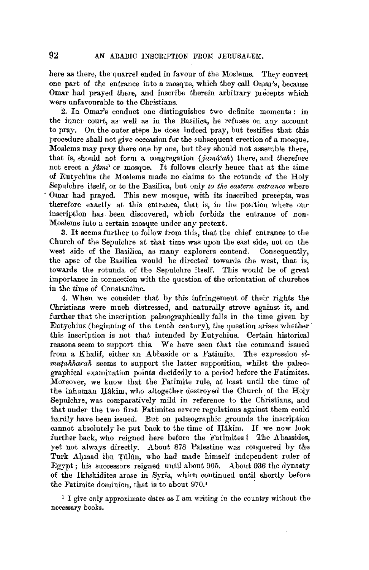here as there, the quarrel ended in favour of the Moslems. They convert one part of the entrance into a mosque, which they call Omar's, because Omar had prayed there, and inscribe therein arbitrary precepts which were unfavourable to the Christians.

2. In Omar's conduct one distinguishes two definite moments : in the inner court, as well as in the Basilica, he refuses on any account to pray. On the outer steps he does indeed pray, but testifies that this procedure shall not give occcasion for the subsequent erection of a mosque. Moslems may pray there one by one, but they should not assemble there. that is, should not form a congregation *(jamå'ah)* there, and therefore not erect a jami' or mosque. It follows clearly hence that at the time of Eutychius the Moslems made no claims to the rotunda of the Holy Sepulchre itself, or to the Basilica, but only *to the eastern entrance* where Omar had prayed. This new mosque, with its inscribed precepts, was therefore exactly at this entrance, that is, in the position where our inscription has been discovered, which forbids the entrance of non-Moslems into a certain mosque under any pretext.

3. It seems further to follow from this, that the chief entrance to the Church of the Sepulchre at that time was upon the east side, not on the west side of the Basilica, as many explorers contend. Consequently, the apse of the Basilica would be directed towards the west, that is, towards the rotunda of the Sepulchre itself. This would be of great importance in connection with the question of the orientation of churches in the time of Constantine.

4. When we consider that by this infringement of their rights the Christians were much distressed, and naturally strove against it, and further that the inscription paleographically falls in the time given by Eutychius (beginning of the tenth century), the question arises whether this inscription is not that intended by Eutychius. Certain historical reasons seem to support this. We have seen that the command issued from a Khalif, either an Abbaside or a Fatimite. The expression  $el$ *mutahharali* seems to support the latter supposition, whilst the paheographical examination points decidedly to a period before the Fatimites. Moreover, we know that the Fatimite rule, at least until the time of the inhuman Hâkim, who altogether destroyed the Church of the Holy Sepulchre, was comparatively mild in reference to the Christians, and that under tbe two first Fatimites severe regulations against them could hardly have been issued. But on palreographic grounds the inscription cannot absolutely be put back to the time of Hâkim. If we now look further back, who reigned here before the Fatimites? The Abassides, yet not always directly. About 878 Palestine was conquered by the Turk Ahmad ibn Tftlfin, who had made himself independent ruler of Egypt; his successors reigned until about 905. About 936 the dynasty of the Ikhshidites arose in Syria, which continued until shortly before the Fatimite dominion, that is to about 970.<sup>1</sup>

<sup>1</sup> I give only approximate dates as I am writing in the country without the necessary books.